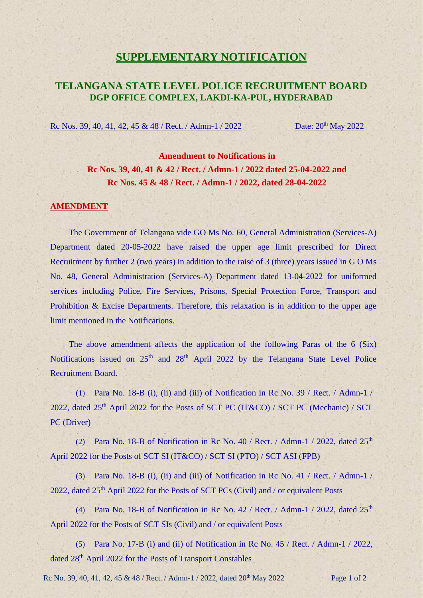## **SUPPLEMENTARY NOTIFICATION**

## **TELANGANA STATE LEVEL POLICE RECRUITMENT BOARD DGP OFFICE COMPLEX, LAKDI-KA-PUL, HYDERABAD**

Rc Nos. 39, 40, 41, 42, 45 & 48 / Rect. / Admn-1 / 2022 Date:  $20^{th}$  May 2022

**Amendment to Notifications in Rc Nos. 39, 40, 41 & 42 / Rect. / Admn-1 / 2022 dated 25-04-2022 and Rc Nos. 45 & 48 / Rect. / Admn-1 / 2022, dated 28-04-2022**

## **AMENDMENT**

The Government of Telangana vide GO Ms No. 60, General Administration (Services-A) Department dated 20-05-2022 have raised the upper age limit prescribed for Direct Recruitment by further 2 (two years) in addition to the raise of 3 (three) years issued in G O Ms No. 48, General Administration (Services-A) Department dated 13-04-2022 for uniformed services including Police, Fire Services, Prisons, Special Protection Force, Transport and Prohibition & Excise Departments. Therefore, this relaxation is in addition to the upper age limit mentioned in the Notifications.

The above amendment affects the application of the following Paras of the 6 (Six) Notifications issued on 25<sup>th</sup> and 28<sup>th</sup> April 2022 by the Telangana State Level Police Recruitment Board.

(1) Para No. 18-B (i), (ii) and (iii) of Notification in Rc No. 39 / Rect. / Admn-1 / 2022, dated  $25<sup>th</sup>$  April 2022 for the Posts of SCT PC (IT&CO) / SCT PC (Mechanic) / SCT PC (Driver)

(2) Para No. 18-B of Notification in Rc No. 40 / Rect. / Admn-1 / 2022, dated  $25<sup>th</sup>$ April 2022 for the Posts of SCT SI (IT&CO) / SCT SI (PTO) / SCT ASI (FPB)

(3) Para No. 18-B (i), (ii) and (iii) of Notification in Rc No. 41 / Rect. / Admn-1 / 2022, dated  $25<sup>th</sup>$  April 2022 for the Posts of SCT PCs (Civil) and / or equivalent Posts

(4) Para No. 18-B of Notification in Rc No. 42 / Rect. / Admn-1 / 2022, dated  $25<sup>th</sup>$ April 2022 for the Posts of SCT SIs (Civil) and / or equivalent Posts

(5) Para No. 17-B (i) and (ii) of Notification in Rc No. 45 / Rect. / Admn-1 / 2022, dated 28<sup>th</sup> April 2022 for the Posts of Transport Constables

Rc No. 39, 40, 41, 42, 45 & 48 / Rect. / Admn-1 / 2022, dated  $20<sup>th</sup>$  May 2022 Page 1 of 2